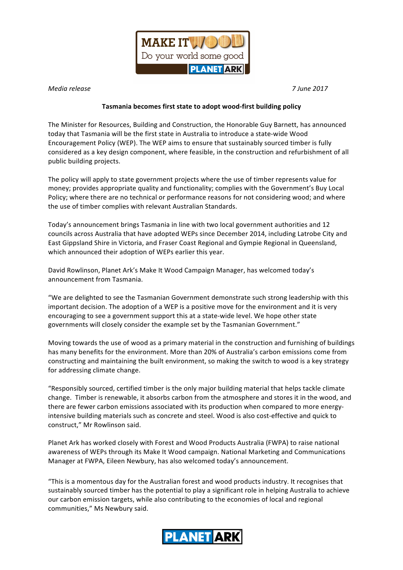

*Media release 7 June 2017* 

## **Tasmania becomes first state to adopt wood-first building policy**

The Minister for Resources, Building and Construction, the Honorable Guy Barnett, has announced today that Tasmania will be the first state in Australia to introduce a state-wide Wood Encouragement Policy (WEP). The WEP aims to ensure that sustainably sourced timber is fully considered as a key design component, where feasible, in the construction and refurbishment of all public building projects.

The policy will apply to state government projects where the use of timber represents value for money; provides appropriate quality and functionality; complies with the Government's Buy Local Policy; where there are no technical or performance reasons for not considering wood; and where the use of timber complies with relevant Australian Standards.

Today's announcement brings Tasmania in line with two local government authorities and 12 councils across Australia that have adopted WEPs since December 2014, including Latrobe City and East Gippsland Shire in Victoria, and Fraser Coast Regional and Gympie Regional in Queensland, which announced their adoption of WEPs earlier this year.

David Rowlinson, Planet Ark's Make It Wood Campaign Manager, has welcomed today's announcement from Tasmania.

"We are delighted to see the Tasmanian Government demonstrate such strong leadership with this important decision. The adoption of a WEP is a positive move for the environment and it is very encouraging to see a government support this at a state-wide level. We hope other state governments will closely consider the example set by the Tasmanian Government."

Moving towards the use of wood as a primary material in the construction and furnishing of buildings has many benefits for the environment. More than 20% of Australia's carbon emissions come from constructing and maintaining the built environment, so making the switch to wood is a key strategy for addressing climate change.

"Responsibly sourced, certified timber is the only major building material that helps tackle climate change. Timber is renewable, it absorbs carbon from the atmosphere and stores it in the wood, and there are fewer carbon emissions associated with its production when compared to more energyintensive building materials such as concrete and steel. Wood is also cost-effective and quick to construct," Mr Rowlinson said.

Planet Ark has worked closely with Forest and Wood Products Australia (FWPA) to raise national awareness of WEPs through its Make It Wood campaign. National Marketing and Communications Manager at FWPA, Eileen Newbury, has also welcomed today's announcement.

"This is a momentous day for the Australian forest and wood products industry. It recognises that sustainably sourced timber has the potential to play a significant role in helping Australia to achieve our carbon emission targets, while also contributing to the economies of local and regional communities," Ms Newbury said.